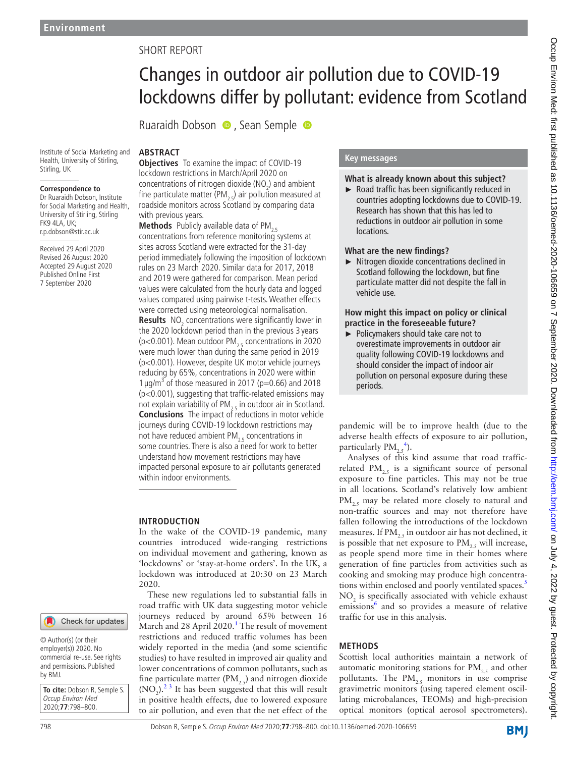# SHORT REPORT

# Changes in outdoor air pollution due to COVID-19 lockdowns differ by pollutant: evidence from Scotland

Ruaraidh Dobson (D. Sean Semple

#### Institute of Social Marketing and Health, University of Stirling, Stirling, UK

#### **Correspondence to**

Dr Ruaraidh Dobson, Institute for Social Marketing and Health, University of Stirling, Stirling FK9 4LA, UK; r.p.dobson@stir.ac.uk

Received 29 April 2020 Revised 26 August 2020 Accepted 29 August 2020 Published Online First 7 September 2020

## **ABSTRACT Objectives** To examine the impact of COVID-19 lockdown restrictions in March/April 2020 on concentrations of nitrogen dioxide  $(NO<sub>2</sub>)$  and ambient fine particulate matter (PM<sub>2</sub>.) air pollution measured at roadside monitors across Scotland by comparing data with previous years.

**Methods** Publicly available data of PM<sub>2.5</sub> concentrations from reference monitoring systems at sites across Scotland were extracted for the 31-day period immediately following the imposition of lockdown rules on 23 March 2020. Similar data for 2017, 2018 and 2019 were gathered for comparison. Mean period values were calculated from the hourly data and logged values compared using pairwise t-tests. Weather effects were corrected using meteorological normalisation. **Results** NO<sub>2</sub> concentrations were significantly lower in the 2020 lockdown period than in the previous 3 years ( $p$ <0.001). Mean outdoor PM<sub>2.5</sub> concentrations in 2020 were much lower than during the same period in 2019 (p<0.001). However, despite UK motor vehicle journeys reducing by 65%, concentrations in 2020 were within 1  $\mu$ g/m<sup>3</sup> of those measured in 2017 (p=0.66) and 2018 (p<0.001), suggesting that traffic-related emissions may not explain variability of PM<sub>2.5</sub> in outdoor air in Scotland. **Conclusions** The impact of reductions in motor vehicle journeys during COVID-19 lockdown restrictions may not have reduced ambient  $PM_{25}$  concentrations in some countries. There is also a need for work to better understand how movement restrictions may have impacted personal exposure to air pollutants generated within indoor environments.

## **INTRODUCTION**

In the wake of the COVID-19 pandemic, many countries introduced wide-ranging restrictions on individual movement and gathering, known as 'lockdowns' or 'stay-at-home orders'. In the UK, a lockdown was introduced at 20:30 on 23 March 2020.

These new regulations led to substantial falls in road traffic with UK data suggesting motor vehicle journeys reduced by around 65% between 16 March and 28 April 2020.<sup>1</sup> The result of movement restrictions and reduced traffic volumes has been widely reported in the media (and some scientific studies) to have resulted in improved air quality and lower concentrations of common pollutants, such as fine particulate matter (PM<sub>25</sub>) and nitrogen dioxide  $(NO<sub>2</sub>)$ .<sup>23</sup> It has been suggested that this will result in positive health effects, due to lowered exposure to air pollution, and even that the net effect of the

## **Key messages**

## **What is already known about this subject?**

► Road traffic has been significantly reduced in countries adopting lockdowns due to COVID-19. Research has shown that this has led to reductions in outdoor air pollution in some locations.

#### **What are the new findings?**

► Nitrogen dioxide concentrations declined in Scotland following the lockdown, but fine particulate matter did not despite the fall in vehicle use.

#### **How might this impact on policy or clinical practice in the foreseeable future?**

► Policymakers should take care not to overestimate improvements in outdoor air quality following COVID-19 lockdowns and should consider the impact of indoor air pollution on personal exposure during these periods.

pandemic will be to improve health (due to the adverse health effects of exposure to air pollution, particularly  $\text{PM}_{2.5}^{4}$  $\text{PM}_{2.5}^{4}$  $\text{PM}_{2.5}^{4}$ ).

Analyses of this kind assume that road trafficrelated  $PM_{25}$  is a significant source of personal exposure to fine particles. This may not be true in all locations. Scotland's relatively low ambient  $PM_{25}$  may be related more closely to natural and non-traffic sources and may not therefore have fallen following the introductions of the lockdown measures. If  $PM<sub>25</sub>$  in outdoor air has not declined, it is possible that net exposure to  $PM<sub>25</sub>$  will increase, as people spend more time in their homes where generation of fine particles from activities such as cooking and smoking may produce high concentra-tions within enclosed and poorly ventilated spaces.<sup>[5](#page-2-3)</sup>  $NO<sub>2</sub>$  is specifically associated with vehicle exhaust emissions<sup>[6](#page-2-4)</sup> and so provides a measure of relative traffic for use in this analysis.

## **METHODS**

Scottish local authorities maintain a network of automatic monitoring stations for  $PM_{25}$  and other pollutants. The  $PM_{2,5}$  monitors in use comprise gravimetric monitors (using tapered element oscillating microbalances, TEOMs) and high-precision optical monitors (optical aerosol spectrometers).

Check for updates

© Author(s) (or their employer(s)) 2020. No commercial re-use. See rights and permissions. Published by BMJ.

**To cite:** Dobson R, Semple S. Occup Environ Med 2020;**77**:798–800.

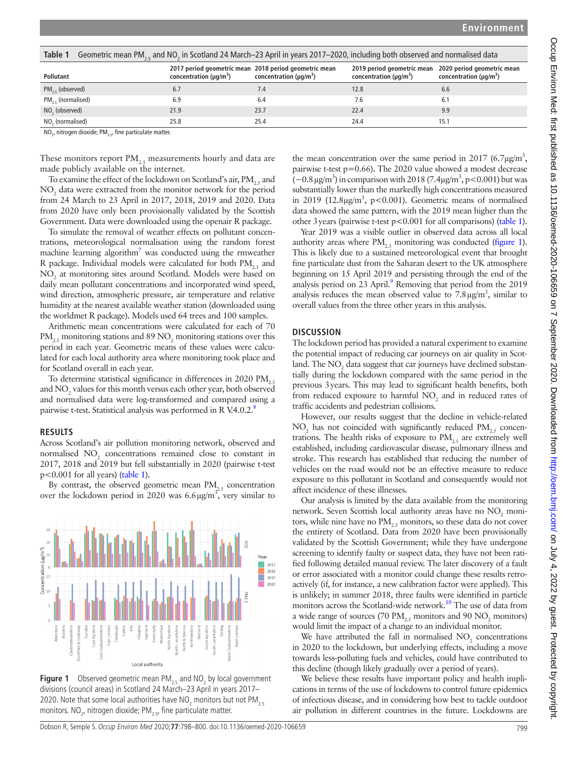<span id="page-1-0"></span>

| Geometric mean PM <sub>2</sub> and NO <sub>2</sub> in Scotland 24 March-23 April in years 2017-2020, including both observed and normalised data<br>Table 1 |                               |                                                                                        |                                                                                        |                               |
|-------------------------------------------------------------------------------------------------------------------------------------------------------------|-------------------------------|----------------------------------------------------------------------------------------|----------------------------------------------------------------------------------------|-------------------------------|
| Pollutant                                                                                                                                                   | concentration ( $\mu q/m^3$ ) | 2017 period geometric mean 2018 period geometric mean<br>concentration ( $\mu q/m^3$ ) | 2019 period geometric mean 2020 period geometric mean<br>concentration ( $\mu q/m^3$ ) | concentration ( $\mu q/m^3$ ) |
| $PM_{25}$ (observed)                                                                                                                                        | 6.7                           | 7.4                                                                                    | 12.8                                                                                   | 6.6                           |
| $PM_{25}$ (normalised)                                                                                                                                      | 6.9                           | 6.4                                                                                    | 7.6                                                                                    | 6.1                           |
| NO <sub>2</sub> (observed)                                                                                                                                  | 21.9                          | 23.7                                                                                   | 22.4                                                                                   | 9.9                           |
| NO <sub>2</sub> (normalised)                                                                                                                                | 25.8                          | 25.4                                                                                   | 24.4                                                                                   | 15.1                          |

 $\mathsf{NO}_{2'}$  nitrogen dioxide; PM $_{2.5'}$  fine particulate matter.

These monitors report  $PM_{2,5}$  measurements hourly and data are made publicly available on the internet.

To examine the effect of the lockdown on Scotland's air,  $PM_{25}$  and NO<sub>2</sub> data were extracted from the monitor network for the period from 24 March to 23 April in 2017, 2018, 2019 and 2020. Data from 2020 have only been provisionally validated by the Scottish Government. Data were downloaded using the openair R package.

To simulate the removal of weather effects on pollutant concentrations, meteorological normalisation using the random forest machine learning algorithm<sup>7</sup> was conducted using the rmweather R package. Individual models were calculated for both  $PM$ <sub>25</sub> and NO2 at monitoring sites around Scotland. Models were based on daily mean pollutant concentrations and incorporated wind speed, wind direction, atmospheric pressure, air temperature and relative humidity at the nearest available weather station (downloaded using the worldmet R package). Models used 64 trees and 100 samples.

Arithmetic mean concentrations were calculated for each of 70  $\text{PM}_{2.5}$  monitoring stations and 89  $\text{NO}_2$  monitoring stations over this period in each year. Geometric means of these values were calculated for each local authority area where monitoring took place and for Scotland overall in each year.

To determine statistical significance in differences in 2020 PM, and  $\mathrm{NO}_2$  values for this month versus each other year, both observed and normalised data were log-transformed and compared using a pairwise t-test. Statistical analysis was performed in R V.4.0.2.<sup>[8](#page-2-6)</sup>

#### **RESULTS**

Across Scotland's air pollution monitoring network, observed and normalised  $NO<sub>2</sub>$  concentrations remained close to constant in 2017, 2018 and 2019 but fell substantially in 2020 (pairwise t-test p<0.001 for all years) [\(table](#page-1-0) 1).

By contrast, the observed geometric mean  $PM_{25}$  concentration over the lockdown period in 2020 was  $6.6 \mu\text{g/m}^3$ , very similar to



<span id="page-1-1"></span>**Figure 1** Observed geometric mean  $PM_{2.5}$  and  $NO_2$  by local government divisions (council areas) in Scotland 24 March–23 April in years 2017– 2020. Note that some local authorities have  $NO_2$  monitors but not  $PM_{2.5}$ monitors. NO<sub>2</sub>, nitrogen dioxide; PM<sub>2.5</sub>, fine particulate matter.

the mean concentration over the same period in 2017 (6.7 $\mu$ g/m<sup>3</sup>, pairwise t-test p=0.66). The 2020 value showed a modest decrease  $(-0.8 \,\mu\text{g/m}^3)$  in comparison with 2018 (7.4 $\mu\text{g/m}^3$ , p<0.001) but was substantially lower than the markedly high concentrations measured in 2019 (12.8 $\mu$ g/m<sup>3</sup>, p<0.001). Geometric means of normalised data showed the same pattern, with the 2019 mean higher than the other 3years (pairwise t-test p<0.001 for all comparisons) ([table](#page-1-0) 1).

Year 2019 was a visible outlier in observed data across all local authority areas where  $PM$ <sub>25</sub> monitoring was conducted [\(figure](#page-1-1) 1). This is likely due to a sustained meteorological event that brought fine particulate dust from the Saharan desert to the UK atmosphere beginning on 15 April 2019 and persisting through the end of the analysis period on 23 April.<sup>9</sup> Removing that period from the 2019 analysis reduces the mean observed value to  $7.8 \,\mathrm{\mu g/m^3}$ , similar to overall values from the three other years in this analysis.

## **DISCUSSION**

The lockdown period has provided a natural experiment to examine the potential impact of reducing car journeys on air quality in Scotland. The  $\mathrm{NO}_2^{}$  data suggest that car journeys have declined substantially during the lockdown compared with the same period in the previous 3years. This may lead to significant health benefits, both from reduced exposure to harmful  $NO<sub>2</sub>$  and in reduced rates of traffic accidents and pedestrian collisions.

However, our results suggest that the decline in vehicle-related  $\rm NO_2$  has not coincided with significantly reduced  $\rm PM_{2.5}$  concentrations. The health risks of exposure to  $PM$ <sub>25</sub> are extremely well established, including cardiovascular disease, pulmonary illness and stroke. This research has established that reducing the number of vehicles on the road would not be an effective measure to reduce exposure to this pollutant in Scotland and consequently would not affect incidence of these illnesses.

Our analysis is limited by the data available from the monitoring network. Seven Scottish local authority areas have no  $\mathrm{NO}_2$  monitors, while nine have no  $PM_{25}$  monitors, so these data do not cover the entirety of Scotland. Data from 2020 have been provisionally validated by the Scottish Government; while they have undergone screening to identify faulty or suspect data, they have not been ratified following detailed manual review. The later discovery of a fault or error associated with a monitor could change these results retroactively (if, for instance, a new calibration factor were applied). This is unlikely; in summer 2018, three faults were identified in particle monitors across the Scotland-wide network.<sup>10</sup> The use of data from a wide range of sources (70  $\text{PM}_{2.5}$  monitors and 90  $\text{NO}_2$  monitors) would limit the impact of a change to an individual monitor.

We have attributed the fall in normalised  $NO<sub>2</sub>$  concentrations in 2020 to the lockdown, but underlying effects, including a move towards less-polluting fuels and vehicles, could have contributed to this decline (though likely gradually over a period of years).

We believe these results have important policy and health implications in terms of the use of lockdowns to control future epidemics of infectious disease, and in considering how best to tackle outdoor air pollution in different countries in the future. Lockdowns are